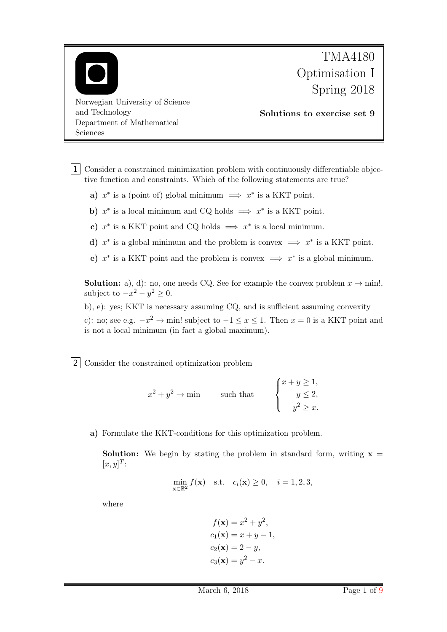

1 Consider a constrained minimization problem with continuously differentiable objective function and constraints. Which of the following statements are true?

- a)  $x^*$  is a (point of) global minimum  $\implies x^*$  is a KKT point.
- b)  $x^*$  is a local minimum and CQ holds  $\implies x^*$  is a KKT point.
- c)  $x^*$  is a KKT point and CQ holds  $\implies x^*$  is a local minimum.
- d)  $x^*$  is a global minimum and the problem is convex  $\implies x^*$  is a KKT point.
- e)  $x^*$  is a KKT point and the problem is convex  $\implies x^*$  is a global minimum.

**Solution:** a), d): no, one needs CQ. See for example the convex problem  $x \to \text{min}$ . subject to  $-x^2 - y^2 \geq 0$ .

b), e): yes; KKT is necessary assuming CQ, and is sufficient assuming convexity

c): no; see e.g.  $-x^2 \to \text{min}!$  subject to  $-1 \le x \le 1$ . Then  $x = 0$  is a KKT point and is not a local minimum (in fact a global maximum).

2 Consider the constrained optimization problem

$$
x^{2} + y^{2} \rightarrow \min \qquad \text{such that} \qquad \begin{cases} x + y \geq 1, \\ y \leq 2, \\ y^{2} \geq x. \end{cases}
$$

a) Formulate the KKT-conditions for this optimization problem.

**Solution:** We begin by stating the problem in standard form, writing  $x =$  $[x, y]^T$ :

$$
\min_{\mathbf{x}\in\mathbb{R}^2} f(\mathbf{x}) \quad \text{s.t.} \quad c_i(\mathbf{x}) \ge 0, \quad i = 1, 2, 3,
$$

where

$$
f(\mathbf{x}) = x^2 + y^2,
$$
  
\n
$$
c_1(\mathbf{x}) = x + y - 1,
$$
  
\n
$$
c_2(\mathbf{x}) = 2 - y,
$$
  
\n
$$
c_3(\mathbf{x}) = y^2 - x.
$$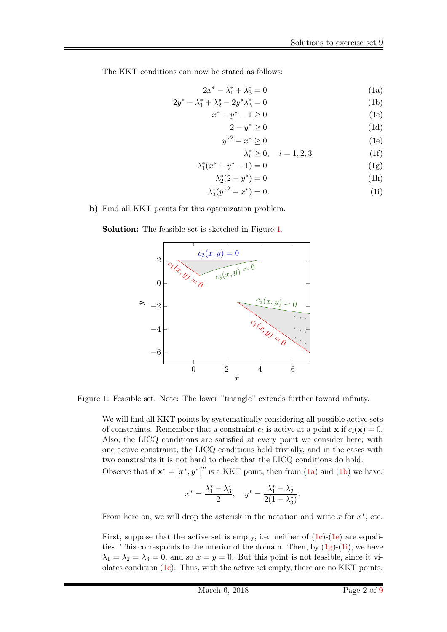The KKT conditions can now be stated as follows:

$$
2x^* - \lambda_1^* + \lambda_3^* = 0 \tag{1a}
$$

$$
2y^* - \lambda_1^* + \lambda_2^* - 2y^* \lambda_3^* = 0
$$
 (1b)

$$
x^* + y^* - 1 \ge 0
$$
  
\n
$$
2 - y^* \ge 0
$$
\n(1c)\n(1d)

$$
y^{*2} - x^* \ge 0 \tag{1e}
$$

<span id="page-1-7"></span><span id="page-1-6"></span><span id="page-1-5"></span><span id="page-1-4"></span><span id="page-1-3"></span><span id="page-1-2"></span><span id="page-1-1"></span>
$$
\lambda_i^* \ge 0, \quad i = 1, 2, 3 \tag{1f}
$$

$$
\lambda_1^*(x^* + y^* - 1) = 0 \tag{1g}
$$

$$
\lambda_2^*(2 - y^*) = 0 \tag{1h}
$$

$$
\lambda_3^*(y^{*2} - x^*) = 0. \tag{1i}
$$

b) Find all KKT points for this optimization problem.

Solution: The feasible set is sketched in Figure [1.](#page-1-0)



Figure 1: Feasible set. Note: The lower "triangle" extends further toward infinity.

<span id="page-1-0"></span>We will find all KKT points by systematically considering all possible active sets of constraints. Remember that a constraint  $c_i$  is active at a point **x** if  $c_i(\mathbf{x}) = 0$ . Also, the LICQ conditions are satisfied at every point we consider here; with one active constraint, the LICQ conditions hold trivially, and in the cases with two constraints it is not hard to check that the LICQ conditions do hold.

Observe that if  $\mathbf{x}^* = [x^*, y^*]^T$  is a KKT point, then from  $(1a)$  and  $(1b)$  we have:

$$
x^* = \frac{\lambda_1^* - \lambda_3^*}{2}, \quad y^* = \frac{\lambda_1^* - \lambda_2^*}{2(1 - \lambda_3^*)}.
$$

From here on, we will drop the asterisk in the notation and write  $x$  for  $x^*$ , etc.

First, suppose that the active set is empty, i.e. neither of  $(1c)$ - $(1e)$  are equalities. This corresponds to the interior of the domain. Then, by  $(1g)-(1i)$  $(1g)-(1i)$  $(1g)-(1i)$ , we have  $\lambda_1 = \lambda_2 = \lambda_3 = 0$ , and so  $x = y = 0$ . But this point is not feasible, since it violates condition  $(1c)$ . Thus, with the active set empty, there are no KKT points.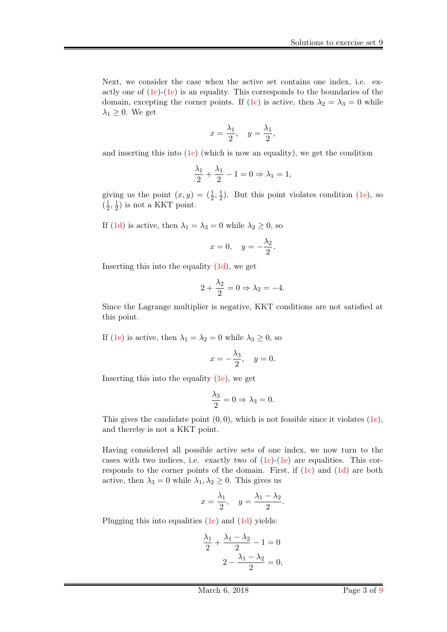Next, we consider the case when the active set contains one index, i.e. exactly one of  $(1c)-(1e)$  $(1c)-(1e)$  $(1c)-(1e)$  is an equality. This corresponds to the boundaries of the domain, excepting the corner points. If [\(1c\)](#page-1-3) is active, then  $\lambda_2 = \lambda_3 = 0$  while  $\lambda_1 \geq 0$ . We get

$$
x = \frac{\lambda_1}{2}, \quad y = \frac{\lambda_1}{2},
$$

and inserting this into  $(1c)$  (which is now an equality), we get the condition

$$
\frac{\lambda_1}{2} + \frac{\lambda_1}{2} - 1 = 0 \Rightarrow \lambda_1 = 1,
$$

giving us the point  $(x, y) = (\frac{1}{2}, \frac{1}{2})$  $(\frac{1}{2})$ . But this point violates condition [\(1e\)](#page-1-4), so  $\left(\frac{1}{2}\right)$  $\frac{1}{2}, \frac{1}{2}$  $(\frac{1}{2})$  is not a KKT point.

If [\(1d\)](#page-1-7) is active, then  $\lambda_1 = \lambda_3 = 0$  while  $\lambda_2 \geq 0$ , so

$$
x = 0, \quad y = -\frac{\lambda_2}{2}.
$$

Inserting this into the equality [\(1d\)](#page-1-7), we get

$$
2 + \frac{\lambda_2}{2} = 0 \Rightarrow \lambda_2 = -4.
$$

Since the Lagrange multiplier is negative, KKT conditions are not satisfied at this point.

If [\(1e\)](#page-1-4) is active, then  $\lambda_1 = \lambda_2 = 0$  while  $\lambda_3 \geq 0$ , so

$$
x = -\frac{\lambda_3}{2}, \quad y = 0.
$$

Inserting this into the equality [\(1e\)](#page-1-4), we get

$$
\frac{\lambda_3}{2} = 0 \Rightarrow \lambda_3 = 0.
$$

This gives the candidate point  $(0, 0)$ , which is not feasible since it violates  $(1c)$ , and thereby is not a KKT point.

Having considered all possible active sets of one index, we now turn to the cases with two indices, i.e. exactly two of  $(1c)$ - $(1e)$  are equalities. This corresponds to the corner points of the domain. First, if [\(1c\)](#page-1-3) and [\(1d\)](#page-1-7) are both active, then  $\lambda_3 = 0$  while  $\lambda_1, \lambda_2 \geq 0$ . This gives us

$$
x = \frac{\lambda_1}{2}, \quad y = \frac{\lambda_1 - \lambda_2}{2}.
$$

Plugging this into equalities [\(1c\)](#page-1-3) and [\(1d\)](#page-1-7) yields:

$$
\frac{\lambda_1}{2} + \frac{\lambda_1 - \lambda_2}{2} - 1 = 0
$$

$$
2 - \frac{\lambda_1 - \lambda_2}{2} = 0,
$$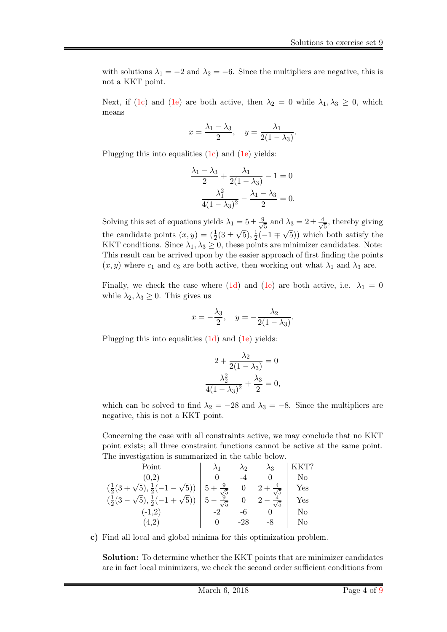with solutions  $\lambda_1 = -2$  and  $\lambda_2 = -6$ . Since the multipliers are negative, this is not a KKT point.

Next, if [\(1c\)](#page-1-3) and [\(1e\)](#page-1-4) are both active, then  $\lambda_2 = 0$  while  $\lambda_1, \lambda_3 \geq 0$ , which means

$$
x = \frac{\lambda_1 - \lambda_3}{2}, \quad y = \frac{\lambda_1}{2(1 - \lambda_3)}.
$$

Plugging this into equalities [\(1c\)](#page-1-3) and [\(1e\)](#page-1-4) yields:

$$
\frac{\lambda_1 - \lambda_3}{2} + \frac{\lambda_1}{2(1 - \lambda_3)} - 1 = 0
$$

$$
\frac{\lambda_1^2}{4(1 - \lambda_3)^2} - \frac{\lambda_1 - \lambda_3}{2} = 0.
$$

Solving this set of equations yields  $\lambda_1 = 5 \pm \frac{9}{\sqrt{2}}$  $\frac{1}{5}$  and  $\lambda_3 = 2 \pm \frac{4}{\sqrt{3}}$  $=5\pm\frac{9}{\sqrt{5}}$  and  $\lambda_3=2\pm\frac{4}{\sqrt{5}}$ , thereby giving the candidate points  $(x, y) = (\frac{1}{2}(3 \pm \sqrt{5}), \frac{1}{2})$  $\frac{1}{2}(-1 \mp \sqrt{5})$  which both satisfy the KKT conditions. Since  $\lambda_1, \lambda_3 \geq 0$ , these points are minimizer candidates. Note: This result can be arrived upon by the easier approach of first finding the points  $(x, y)$  where  $c_1$  and  $c_3$  are both active, then working out what  $\lambda_1$  and  $\lambda_3$  are.

Finally, we check the case where [\(1d\)](#page-1-7) and [\(1e\)](#page-1-4) are both active, i.e.  $\lambda_1 = 0$ while  $\lambda_2, \lambda_3 \geq 0$ . This gives us

$$
x = -\frac{\lambda_3}{2}, \quad y = -\frac{\lambda_2}{2(1 - \lambda_3)}.
$$

Plugging this into equalities [\(1d\)](#page-1-7) and [\(1e\)](#page-1-4) yields:

$$
2 + \frac{\lambda_2}{2(1 - \lambda_3)} = 0
$$

$$
\frac{\lambda_2^2}{4(1 - \lambda_3)^2} + \frac{\lambda_3}{2} = 0,
$$

which can be solved to find  $\lambda_2 = -28$  and  $\lambda_3 = -8$ . Since the multipliers are negative, this is not a KKT point.

Concerning the case with all constraints active, we may conclude that no KKT point exists; all three constraint functions cannot be active at the same point. The investigation is summarized in the table below.

| Point                                                                |                              | 19 | $\lambda$ ?    |     |
|----------------------------------------------------------------------|------------------------------|----|----------------|-----|
| (0,2)                                                                |                              |    |                | No  |
| $(\frac{1}{2}(3+\sqrt{5}),\frac{1}{2}(-1-\sqrt{5}))$<br>$\sqrt{5}$ ) | $\frac{9}{\sqrt{5}}$<br>$5+$ |    | $\overline{4}$ | Yes |
| $(\frac{1}{2}(3-\sqrt{5}), \frac{1}{2}(-1+\sqrt{5}))$                | $\sqrt{5}$                   |    | 5              | Yes |
| $(-1,2)$                                                             |                              |    |                | No  |
|                                                                      |                              |    |                | No  |

c) Find all local and global minima for this optimization problem.

Solution: To determine whether the KKT points that are minimizer candidates are in fact local minimizers, we check the second order sufficient conditions from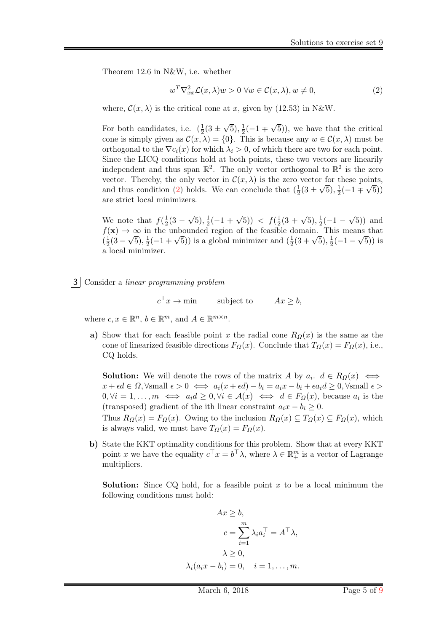Theorem 12.6 in N&W, i.e. whether

<span id="page-4-0"></span>
$$
w^T \nabla_{xx}^2 \mathcal{L}(x, \lambda) w > 0 \ \forall w \in \mathcal{C}(x, \lambda), w \neq 0,
$$
\n<sup>(2)</sup>

where,  $\mathcal{C}(x, \lambda)$  is the critical cone at x, given by (12.53) in N&W.

For both candidates, i.e.  $(\frac{1}{2})$  $rac{1}{2}(3 \pm$ √  $\overline{5}), \frac{1}{2}$  $rac{1}{2}(-1)$ √ 5)), we have that the critical cone is simply given as  $\mathcal{C}(x,\lambda) = \{0\}$ . This is because any  $w \in \mathcal{C}(x,\lambda)$  must be orthogonal to the  $\nabla c_i(x)$  for which  $\lambda_i > 0$ , of which there are two for each point. Since the LICQ conditions hold at both points, these two vectors are linearily independent and thus span  $\mathbb{R}^2$ . The only vector orthogonal to  $\mathbb{R}^2$  is the zero vector. Thereby, the only vector in  $\mathcal{C}(x,\lambda)$  is the zero vector for these points, and thus condition [\(2\)](#page-4-0) holds. We can conclude that  $(\frac{1}{2})$  $\frac{1}{2}(3\pm\sqrt{5}),\frac{1}{2}$  $\frac{1}{2}(-1 \mp \sqrt{5}))$ are strict local minimizers.

We note that  $f(\frac{1}{2})$  $rac{1}{2}(3 - )$ √  $\overline{5}), \frac{1}{2}$  $\frac{1}{2}(-1+\sqrt{5})) \leq f(\frac{1}{2})$  $\frac{1}{2}(3+\sqrt{5}), \frac{1}{2}$  $rac{1}{2}(-1 -$ √ 5)) and  $f(\mathbf{x}) \to \infty$  in the unbounded region of the feasible domain. This means that  $\left(\frac{1}{2}\right)$  $\frac{1}{2}(3-\sqrt{5}), \frac{1}{2}$ in the unbounded region or the reasible c<br>  $\frac{1}{2}(-1+\sqrt{5})$  is a global minimizer and  $(\frac{1}{2})$ domain. 1 n<br>  $\frac{1}{2}(3+\sqrt{5}), \frac{1}{2}$  $\frac{1}{2}(-1-\sqrt{5})$  is a local minimizer.

3 Consider a linear programming problem

 $c^{\top}x \rightarrow \min$ subject to  $Ax \geq b$ ,

where  $c, x \in \mathbb{R}^n$ ,  $b \in \mathbb{R}^m$ , and  $A \in \mathbb{R}^{m \times n}$ .

a) Show that for each feasible point x the radial cone  $R_{\Omega}(x)$  is the same as the cone of linearized feasible directions  $F_{\Omega}(x)$ . Conclude that  $T_{\Omega}(x) = F_{\Omega}(x)$ , i.e., CQ holds.

**Solution:** We will denote the rows of the matrix A by  $a_i$ .  $d \in R_{\Omega}(x) \iff$  $x + \epsilon d \in \Omega$ ,  $\forall$ small  $\epsilon > 0 \iff a_i(x + \epsilon d) - b_i = a_i x - b_i + \epsilon a_i d \geq 0$ ,  $\forall$ small  $\epsilon >$  $0, \forall i = 1, \ldots, m \iff a_i d \geq 0, \forall i \in \mathcal{A}(x) \iff d \in F_{\Omega}(x)$ , because  $a_i$  is the (transposed) gradient of the ith linear constraint  $a_i x - b_i \geq 0$ .

Thus  $R_{\Omega}(x) = F_{\Omega}(x)$ . Owing to the inclusion  $R_{\Omega}(x) \subseteq T_{\Omega}(x) \subseteq F_{\Omega}(x)$ , which is always valid, we must have  $T_{\Omega}(x) = F_{\Omega}(x)$ .

b) State the KKT optimality conditions for this problem. Show that at every KKT point x we have the equality  $c^{\top} x = b^{\top} \lambda$ , where  $\lambda \in \mathbb{R}^m_+$  is a vector of Lagrange multipliers.

**Solution:** Since CQ hold, for a feasible point x to be a local minimum the following conditions must hold:

$$
Ax \ge b,
$$
  
\n
$$
c = \sum_{i=1}^{m} \lambda_i a_i^{\top} = A^{\top} \lambda,
$$
  
\n
$$
\lambda \ge 0,
$$
  
\n
$$
\lambda_i (a_i x - b_i) = 0, \quad i = 1, ..., m.
$$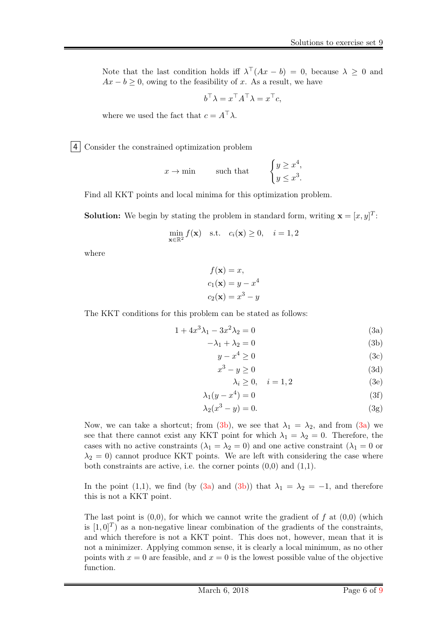Note that the last condition holds iff  $\lambda^{\top}(Ax - b) = 0$ , because  $\lambda \geq 0$  and  $Ax - b \geq 0$ , owing to the feasibility of x. As a result, we have

$$
b^{\top} \lambda = x^{\top} A^{\top} \lambda = x^{\top} c,
$$

where we used the fact that  $c = A^{\top} \lambda$ .

4 Consider the constrained optimization problem

$$
x \to \min
$$
 such that 
$$
\begin{cases} y \geq x^4, \\ y \leq x^3. \end{cases}
$$

Find all KKT points and local minima for this optimization problem.

**Solution:** We begin by stating the problem in standard form, writing  $\mathbf{x} = [x, y]^T$ :

$$
\min_{\mathbf{x} \in \mathbb{R}^2} f(\mathbf{x}) \quad \text{s.t.} \quad c_i(\mathbf{x}) \ge 0, \quad i = 1, 2
$$

where

$$
f(\mathbf{x}) = x,
$$
  
\n
$$
c_1(\mathbf{x}) = y - x^4
$$
  
\n
$$
c_2(\mathbf{x}) = x^3 - y
$$

The KKT conditions for this problem can be stated as follows:

$$
1 + 4x^3 \lambda_1 - 3x^2 \lambda_2 = 0 \tag{3a}
$$

$$
-\lambda_1 + \lambda_2 = 0 \tag{3b}
$$

$$
y - x^4 \ge 0 \tag{3c}
$$

$$
x^3 - y \ge 0 \tag{3d}
$$

<span id="page-5-1"></span><span id="page-5-0"></span>
$$
\lambda_i \ge 0, \quad i = 1, 2 \tag{3e}
$$

$$
\lambda_1(y - x^4) = 0 \tag{3f}
$$

$$
\lambda_2(x^3 - y) = 0. \tag{3g}
$$

Now, we can take a shortcut; from [\(3b\)](#page-5-0), we see that  $\lambda_1 = \lambda_2$ , and from [\(3a\)](#page-5-1) we see that there cannot exist any KKT point for which  $\lambda_1 = \lambda_2 = 0$ . Therefore, the cases with no active constraints  $(\lambda_1 = \lambda_2 = 0)$  and one active constraint  $(\lambda_1 = 0$  or  $\lambda_2 = 0$ ) cannot produce KKT points. We are left with considering the case where both constraints are active, i.e. the corner points  $(0,0)$  and  $(1,1)$ .

In the point (1,1), we find (by [\(3a\)](#page-5-1) and [\(3b\)](#page-5-0)) that  $\lambda_1 = \lambda_2 = -1$ , and therefore this is not a KKT point.

The last point is  $(0,0)$ , for which we cannot write the gradient of f at  $(0,0)$  (which is  $[1,0]^T$ ) as a non-negative linear combination of the gradients of the constraints, and which therefore is not a KKT point. This does not, however, mean that it is not a minimizer. Applying common sense, it is clearly a local minimum, as no other points with  $x = 0$  are feasible, and  $x = 0$  is the lowest possible value of the objective function.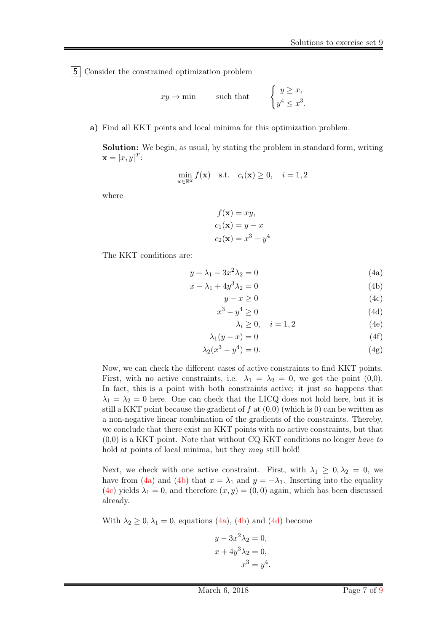5 Consider the constrained optimization problem

$$
xy \to \min
$$
 such that 
$$
\begin{cases} y \geq x, \\ y^4 \leq x^3. \end{cases}
$$

a) Find all KKT points and local minima for this optimization problem.

Solution: We begin, as usual, by stating the problem in standard form, writing  $\mathbf{x} = [x, y]^T$ :

$$
\min_{\mathbf{x} \in \mathbb{R}^2} f(\mathbf{x}) \quad \text{s.t.} \quad c_i(\mathbf{x}) \ge 0, \quad i = 1, 2
$$

where

 $f(\mathbf{x}) = xy,$  $c_1(\mathbf{x}) = y - x$  $c_2(\mathbf{x}) = x^3 - y^4$ 

The KKT conditions are:

$$
y + \lambda_1 - 3x^2 \lambda_2 = 0 \tag{4a}
$$

$$
x - \lambda_1 + 4y^3 \lambda_2 = 0 \tag{4b}
$$

$$
y - x \ge 0 \tag{4c}
$$

$$
x^3 - y^4 \ge 0 \tag{4d}
$$

<span id="page-6-3"></span><span id="page-6-2"></span><span id="page-6-1"></span><span id="page-6-0"></span>
$$
\lambda_i \ge 0, \quad i = 1, 2 \tag{4e}
$$

$$
\lambda_1(y - x) = 0 \tag{4f}
$$

$$
\lambda_2(x^3 - y^4) = 0.
$$
 (4g)

Now, we can check the different cases of active constraints to find KKT points. First, with no active constraints, i.e.  $\lambda_1 = \lambda_2 = 0$ , we get the point (0,0). In fact, this is a point with both constraints active; it just so happens that  $\lambda_1 = \lambda_2 = 0$  here. One can check that the LICQ does not hold here, but it is still a KKT point because the gradient of  $f$  at  $(0,0)$  (which is 0) can be written as a non-negative linear combination of the gradients of the constraints. Thereby, we conclude that there exist no KKT points with no active constraints, but that  $(0,0)$  is a KKT point. Note that without CQ KKT conditions no longer have to hold at points of local minima, but they *may* still hold!

Next, we check with one active constraint. First, with  $\lambda_1 \geq 0, \lambda_2 = 0$ , we have from [\(4a\)](#page-6-0) and [\(4b\)](#page-6-1) that  $x = \lambda_1$  and  $y = -\lambda_1$ . Inserting into the equality [\(4c\)](#page-6-2) yields  $\lambda_1 = 0$ , and therefore  $(x, y) = (0, 0)$  again, which has been discussed already.

With  $\lambda_2 \geq 0, \lambda_1 = 0$ , equations [\(4a\)](#page-6-0), [\(4b\)](#page-6-1) and [\(4d\)](#page-6-3) become

$$
y - 3x2 \lambda2 = 0,
$$
  

$$
x + 4y3 \lambda2 = 0,
$$
  

$$
x3 = y4.
$$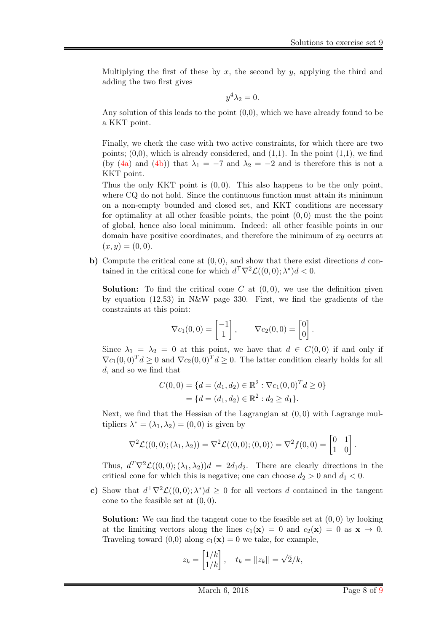Multiplying the first of these by x, the second by y, applying the third and adding the two first gives

$$
y^4 \lambda_2 = 0.
$$

Any solution of this leads to the point  $(0,0)$ , which we have already found to be a KKT point.

Finally, we check the case with two active constraints, for which there are two points;  $(0,0)$ , which is already considered, and  $(1,1)$ . In the point  $(1,1)$ , we find (by [\(4a\)](#page-6-0) and [\(4b\)](#page-6-1)) that  $\lambda_1 = -7$  and  $\lambda_2 = -2$  and is therefore this is not a KKT point.

Thus the only KKT point is  $(0,0)$ . This also happens to be the only point, where CQ do not hold. Since the continuous function must attain its minimum on a non-empty bounded and closed set, and KKT conditions are necessary for optimality at all other feasible points, the point  $(0, 0)$  must the the point of global, hence also local minimum. Indeed: all other feasible points in our domain have positive coordinates, and therefore the minimum of  $xy$  occurrs at  $(x, y) = (0, 0).$ 

b) Compute the critical cone at  $(0, 0)$ , and show that there exist directions d contained in the critical cone for which  $d^{\top}\nabla^2 \mathcal{L}((0,0); \lambda^*)d < 0$ .

**Solution:** To find the critical cone C at  $(0, 0)$ , we use the definition given by equation (12.53) in N&W page 330. First, we find the gradients of the constraints at this point:

$$
\nabla c_1(0,0) = \begin{bmatrix} -1 \\ 1 \end{bmatrix}, \qquad \nabla c_2(0,0) = \begin{bmatrix} 0 \\ 0 \end{bmatrix}.
$$

Since  $\lambda_1 = \lambda_2 = 0$  at this point, we have that  $d \in C(0,0)$  if and only if  $\nabla c_1(0,0)^T d \geq 0$  and  $\nabla c_2(0,0)^T d \geq 0$ . The latter condition clearly holds for all d, and so we find that

$$
C(0,0) = \{d = (d_1, d_2) \in \mathbb{R}^2 : \nabla c_1(0,0)^T d \ge 0\}
$$

$$
= \{d = (d_1, d_2) \in \mathbb{R}^2 : d_2 \ge d_1\}.
$$

Next, we find that the Hessian of the Lagrangian at  $(0, 0)$  with Lagrange multipliers  $\lambda^* = (\lambda_1, \lambda_2) = (0, 0)$  is given by

$$
\nabla^2 \mathcal{L}((0,0); (\lambda_1, \lambda_2)) = \nabla^2 \mathcal{L}((0,0); (0,0)) = \nabla^2 f(0,0) = \begin{bmatrix} 0 & 1 \\ 1 & 0 \end{bmatrix}.
$$

Thus,  $d^T \nabla^2 \mathcal{L}((0,0); (\lambda_1, \lambda_2))d = 2d_1d_2$ . There are clearly directions in the critical cone for which this is negative; one can choose  $d_2 > 0$  and  $d_1 < 0$ .

c) Show that  $d^{\top}\nabla^2 \mathcal{L}((0,0); \lambda^*)d \geq 0$  for all vectors d contained in the tangent cone to the feasible set at  $(0, 0)$ .

**Solution:** We can find the tangent cone to the feasible set at  $(0, 0)$  by looking at the limiting vectors along the lines  $c_1(\mathbf{x}) = 0$  and  $c_2(\mathbf{x}) = 0$  as  $\mathbf{x} \to 0$ . Traveling toward (0,0) along  $c_1(\mathbf{x}) = 0$  we take, for example,

$$
z_k = \begin{bmatrix} 1/k \\ 1/k \end{bmatrix}, \quad t_k = ||z_k|| = \sqrt{2}/k,
$$